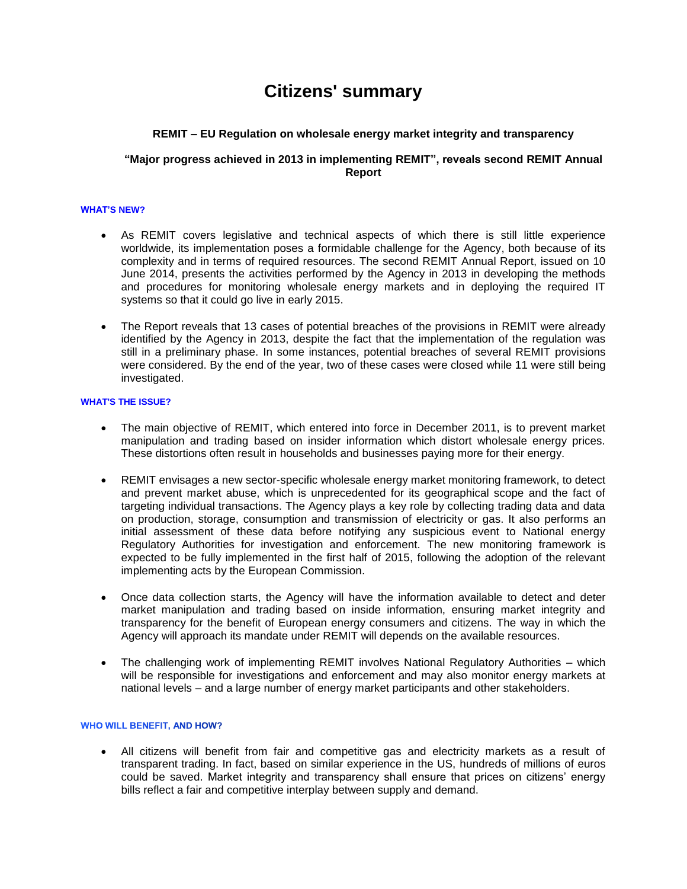# **Citizens' summary**

# **REMIT – EU Regulation on wholesale energy market integrity and transparency**

## **"Major progress achieved in 2013 in implementing REMIT", reveals second REMIT Annual Report**

#### **WHAT'S NEW?**

- As REMIT covers legislative and technical aspects of which there is still little experience worldwide, its implementation poses a formidable challenge for the Agency, both because of its complexity and in terms of required resources. The second REMIT Annual Report, issued on 10 June 2014, presents the activities performed by the Agency in 2013 in developing the methods and procedures for monitoring wholesale energy markets and in deploying the required IT systems so that it could go live in early 2015.
- The Report reveals that 13 cases of potential breaches of the provisions in REMIT were already identified by the Agency in 2013, despite the fact that the implementation of the regulation was still in a preliminary phase. In some instances, potential breaches of several REMIT provisions were considered. By the end of the year, two of these cases were closed while 11 were still being investigated.

### **WHAT'S THE ISSUE?**

- The main objective of REMIT, which entered into force in December 2011, is to prevent market manipulation and trading based on insider information which distort wholesale energy prices. These distortions often result in households and businesses paying more for their energy.
- REMIT envisages a new sector-specific wholesale energy market monitoring framework, to detect and prevent market abuse, which is unprecedented for its geographical scope and the fact of targeting individual transactions. The Agency plays a key role by collecting trading data and data on production, storage, consumption and transmission of electricity or gas. It also performs an initial assessment of these data before notifying any suspicious event to National energy Regulatory Authorities for investigation and enforcement. The new monitoring framework is expected to be fully implemented in the first half of 2015, following the adoption of the relevant implementing acts by the European Commission.
- Once data collection starts, the Agency will have the information available to detect and deter market manipulation and trading based on inside information, ensuring market integrity and transparency for the benefit of European energy consumers and citizens. The way in which the Agency will approach its mandate under REMIT will depends on the available resources.
- The challenging work of implementing REMIT involves National Regulatory Authorities which will be responsible for investigations and enforcement and may also monitor energy markets at national levels – and a large number of energy market participants and other stakeholders.

### **WHO WILL BENEFIT, AND HOW?**

 All citizens will benefit from fair and competitive gas and electricity markets as a result of transparent trading. In fact, based on similar experience in the US, hundreds of millions of euros could be saved. Market integrity and transparency shall ensure that prices on citizens' energy bills reflect a fair and competitive interplay between supply and demand.